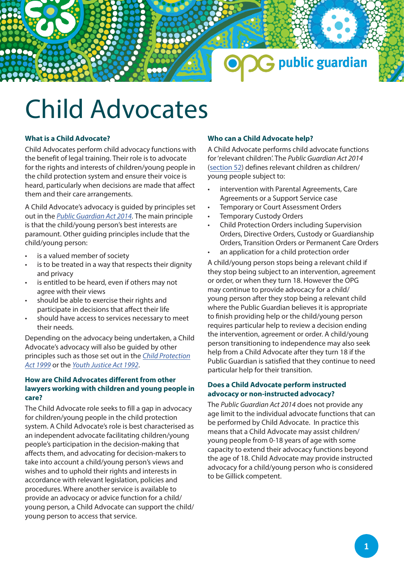

# Child Advocates

## **What is a Child Advocate?**

Child Advocates perform child advocacy functions with the benefit of legal training. Their role is to advocate for the rights and interests of children/young people in the child protection system and ensure their voice is heard, particularly when decisions are made that affect them and their care arrangements.

A Child Advocate's advocacy is guided by principles set out in the *[Public Guardian Act 2014](https://www.legislation.qld.gov.au/view/html/inforce/current/act-2014-026)*. The main principle is that the child/young person's best interests are paramount. Other guiding principles include that the child/young person:

- is a valued member of society
- is to be treated in a way that respects their dignity and privacy
- is entitled to be heard, even if others may not agree with their views
- should be able to exercise their rights and participate in decisions that affect their life
- should have access to services necessary to meet their needs.

Depending on the advocacy being undertaken, a Child Advocate's advocacy will also be guided by other [principles such as those set out in the](https://www.legislation.qld.gov.au/view/html/inforce/current/act-1999-010) *Child Pro[tection](https://www.legislation.qld.gov.au/view/html/inforce/current/act-1999-010) Act 1999* or the *[Youth Justice Act 1992](https://www.legislation.qld.gov.au/view/html/inforce/current/act-1992-044)*.

### **How are Child Advocates different from other lawyers working with children and young people in care?**

The Child Advocate role seeks to fill a gap in advocacy for children/young people in the child protection system. A Child Advocate's role is best characterised as an independent advocate facilitating children/young people's participation in the decision-making that affects them, and advocating for decision-makers to take into account a child/young person's views and wishes and to uphold their rights and interests in accordance with relevant legislation, policies and procedures. Where another service is available to provide an advocacy or advice function for a child/ young person, a Child Advocate can support the child/ young person to access that service.

### **Who can a Child Advocate help?**

A Child Advocate performs child advocate functions for 'relevant children'. The *Public Guardian Act 2014* [\(section 52](https://www.legislation.qld.gov.au/view/html/inforce/current/act-2014-026#sec.52)) defines relevant children as children/ young people subject to:

- intervention with Parental Agreements, Care Agreements or a Support Service case
- Temporary or Court Assessment Orders
- **Temporary Custody Orders**
- Child Protection Orders including Supervision Orders, Directive Orders, Custody or Guardianship Orders, Transition Orders or Permanent Care Orders
- an application for a child protection order

A child/young person stops being a relevant child if they stop being subject to an intervention, agreement or order, or when they turn 18. However the OPG may continue to provide advocacy for a child/ young person after they stop being a relevant child where the Public Guardian believes it is appropriate to finish providing help or the child/young person requires particular help to review a decision ending the intervention, agreement or order. A child/young person transitioning to independence may also seek help from a Child Advocate after they turn 18 if the Public Guardian is satisfied that they continue to need particular help for their transition.

#### **Does a Child Advocate perform instructed advocacy or non-instructed advocacy?**

The *Public Guardian Act 2014* does not provide any age limit to the individual advocate functions that can be performed by Child Advocate. In practice this means that a Child Advocate may assist children/ young people from 0-18 years of age with some capacity to extend their advocacy functions beyond the age of 18. Child Advocate may provide instructed advocacy for a child/young person who is considered to be Gillick competent.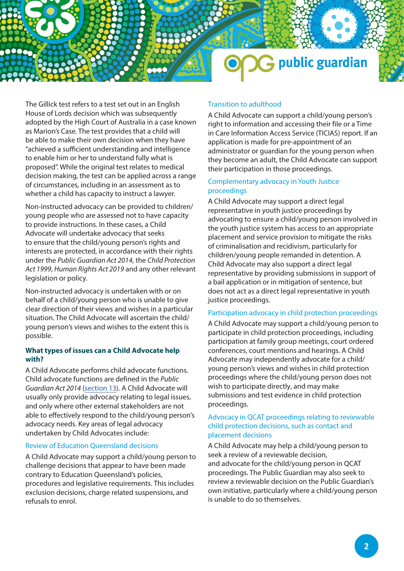

The Gillick test refers to a test set out in an English House of Lords decision which was subsequently adopted by the High Court of Australia in a case known as Marion's Case. The test provides that a child will be able to make their own decision when they have "achieved a sufficient understanding and intelligence to enable him or her to understand fully what is proposed". While the original test relates to medical decision making, the test can be applied across a range of circumstances, including in an assessment as to whether a child has capacity to instruct a lawyer.

Non-instructed advocacy can be provided to children/ young people who are assessed not to have capacity to provide instructions. In these cases, a Child Advocate will undertake advocacy that seeks to ensure that the child/young person's rights and interests are protected, in accordance with their rights under the *Public Guardian Act 2014*, the *Child Protection Act 1999*, *Human Rights Act 2019* and any other relevant legislation or policy.

Non-instructed advocacy is undertaken with or on behalf of a child/young person who is unable to give clear direction of their views and wishes in a particular situation. The Child Advocate will ascertain the child/ young person's views and wishes to the extent this is possible.

### **What types of issues can a Child Advocate help with?**

A Child Advocate performs child advocate functions. Child advocate functions are defined in the *Public Guardian Act 2014* ([section 13\)](https://www.legislation.qld.gov.au/view/html/inforce/current/act-2014-026#sec.13). A Child Advocate will usually only provide advocacy relating to legal issues, and only where other external stakeholders are not able to effectively respond to the child/young person's advocacy needs. Key areas of legal advocacy undertaken by Child Advocates include:

### Review of Education Queensland decisions

A Child Advocate may support a child/young person to challenge decisions that appear to have been made contrary to Education Queensland's policies, procedures and legislative requirements. This includes exclusion decisions, charge related suspensions, and refusals to enrol.

#### Transition to adulthood

A Child Advocate can support a child/young person's right to information and accessing their file or a Time in Care Information Access Service (TICIAS) report. If an application is made for pre-appointment of an administrator or guardian for the young person when they become an adult, the Child Advocate can support their participation in those proceedings.

#### Complementary advocacy in Youth Justice proceedings

A Child Advocate may support a direct legal representative in youth justice proceedings by advocating to ensure a child/young person involved in the youth justice system has access to an appropriate placement and service provision to mitigate the risks of criminalisation and recidivism, particularly for children/young people remanded in detention. A Child Advocate may also support a direct legal representative by providing submissions in support of a bail application or in mitigation of sentence, but does not act as a direct legal representative in youth justice proceedings.

#### Participation advocacy in child protection proceedings

A Child Advocate may support a child/young person to participate in child protection proceedings, including participation at family group meetings, court ordered conferences, court mentions and hearings. A Child Advocate may independently advocate for a child/ young person's views and wishes in child protection proceedings where the child/young person does not wish to participate directly, and may make submissions and test evidence in child protection proceedings.

#### Advocacy in QCAT proceedings relating to reviewable child protection decisions, such as contact and placement decisions

A Child Advocate may help a child/young person to seek a review of a reviewable decision, and advocate for the child/young person in QCAT proceedings. The Public Guardian may also seek to review a reviewable decision on the Public Guardian's own initiative, particularly where a child/young person is unable to do so themselves.